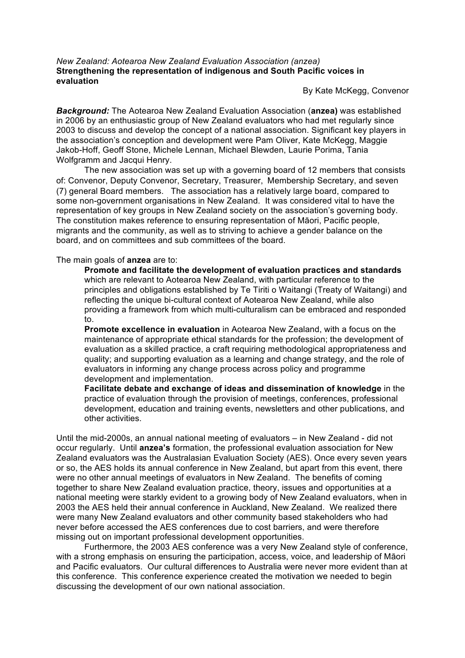### *New Zealand: Aotearoa New Zealand Evaluation Association (anzea)* **Strengthening the representation of indigenous and South Pacific voices in evaluation**

By Kate McKegg, Convenor

*Background:* The Aotearoa New Zealand Evaluation Association (**anzea)** was established in 2006 by an enthusiastic group of New Zealand evaluators who had met regularly since 2003 to discuss and develop the concept of a national association. Significant key players in the association's conception and development were Pam Oliver, Kate McKegg, Maggie Jakob-Hoff, Geoff Stone, Michele Lennan, Michael Blewden, Laurie Porima, Tania Wolfgramm and Jacqui Henry.

The new association was set up with a governing board of 12 members that consists of: Convenor, Deputy Convenor, Secretary, Treasurer, Membership Secretary, and seven (7) general Board members. The association has a relatively large board, compared to some non-government organisations in New Zealand. It was considered vital to have the representation of key groups in New Zealand society on the association's governing body. The constitution makes reference to ensuring representation of Māori, Pacific people, migrants and the community, as well as to striving to achieve a gender balance on the board, and on committees and sub committees of the board.

The main goals of **anzea** are to:

**Promote and facilitate the development of evaluation practices and standards** which are relevant to Aotearoa New Zealand, with particular reference to the principles and obligations established by Te Tiriti o Waitangi (Treaty of Waitangi) and reflecting the unique bi-cultural context of Aotearoa New Zealand, while also providing a framework from which multi-culturalism can be embraced and responded to.

**Promote excellence in evaluation** in Aotearoa New Zealand, with a focus on the maintenance of appropriate ethical standards for the profession; the development of evaluation as a skilled practice, a craft requiring methodological appropriateness and quality; and supporting evaluation as a learning and change strategy, and the role of evaluators in informing any change process across policy and programme development and implementation.

**Facilitate debate and exchange of ideas and dissemination of knowledge** in the practice of evaluation through the provision of meetings, conferences, professional development, education and training events, newsletters and other publications, and other activities.

Until the mid-2000s, an annual national meeting of evaluators – in New Zealand - did not occur regularly. Until **anzea's** formation, the professional evaluation association for New Zealand evaluators was the Australasian Evaluation Society (AES). Once every seven years or so, the AES holds its annual conference in New Zealand, but apart from this event, there were no other annual meetings of evaluators in New Zealand. The benefits of coming together to share New Zealand evaluation practice, theory, issues and opportunities at a national meeting were starkly evident to a growing body of New Zealand evaluators, when in 2003 the AES held their annual conference in Auckland, New Zealand. We realized there were many New Zealand evaluators and other community based stakeholders who had never before accessed the AES conferences due to cost barriers, and were therefore missing out on important professional development opportunities.

Furthermore, the 2003 AES conference was a very New Zealand style of conference, with a strong emphasis on ensuring the participation, access, voice, and leadership of Māori and Pacific evaluators. Our cultural differences to Australia were never more evident than at this conference. This conference experience created the motivation we needed to begin discussing the development of our own national association.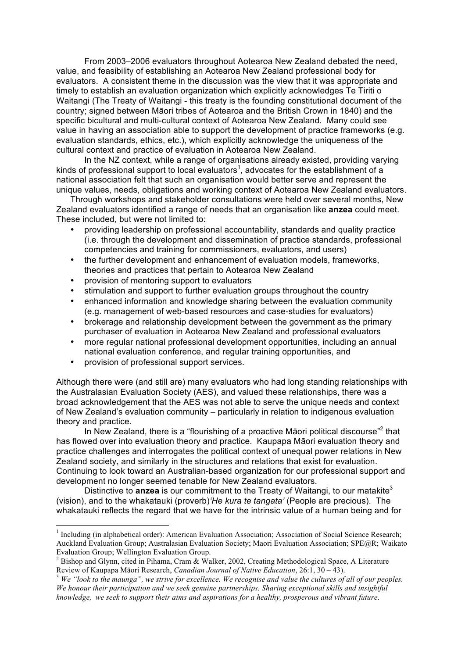From 2003–2006 evaluators throughout Aotearoa New Zealand debated the need, value, and feasibility of establishing an Aotearoa New Zealand professional body for evaluators. A consistent theme in the discussion was the view that it was appropriate and timely to establish an evaluation organization which explicitly acknowledges Te Tiriti o Waitangi (The Treaty of Waitangi - this treaty is the founding constitutional document of the country; signed between Māori tribes of Aotearoa and the British Crown in 1840) and the specific bicultural and multi-cultural context of Aotearoa New Zealand. Many could see value in having an association able to support the development of practice frameworks (e.g. evaluation standards, ethics, etc.), which explicitly acknowledge the uniqueness of the cultural context and practice of evaluation in Aotearoa New Zealand.

In the NZ context, while a range of organisations already existed, providing varying kinds of professional support to local evaluators<sup>1</sup>, advocates for the establishment of a national association felt that such an organisation would better serve and represent the unique values, needs, obligations and working context of Aotearoa New Zealand evaluators.

Through workshops and stakeholder consultations were held over several months, New Zealand evaluators identified a range of needs that an organisation like **anzea** could meet. These included, but were not limited to:

- providing leadership on professional accountability, standards and quality practice (i.e. through the development and dissemination of practice standards, professional competencies and training for commissioners, evaluators, and users)
- the further development and enhancement of evaluation models, frameworks, theories and practices that pertain to Aotearoa New Zealand
- provision of mentoring support to evaluators
- stimulation and support to further evaluation groups throughout the country
- enhanced information and knowledge sharing between the evaluation community (e.g. management of web-based resources and case-studies for evaluators)
- brokerage and relationship development between the government as the primary purchaser of evaluation in Aotearoa New Zealand and professional evaluators
- more regular national professional development opportunities, including an annual national evaluation conference, and regular training opportunities, and
- provision of professional support services.

Although there were (and still are) many evaluators who had long standing relationships with the Australasian Evaluation Society (AES), and valued these relationships, there was a broad acknowledgement that the AES was not able to serve the unique needs and context of New Zealand's evaluation community – particularly in relation to indigenous evaluation theory and practice.

In New Zealand, there is a "flourishing of a proactive Māori political discourse"<sup>2</sup> that has flowed over into evaluation theory and practice. Kaupapa Māori evaluation theory and practice challenges and interrogates the political context of unequal power relations in New Zealand society, and similarly in the structures and relations that exist for evaluation. Continuing to look toward an Australian-based organization for our professional support and development no longer seemed tenable for New Zealand evaluators.

Distinctive to **anzea** is our commitment to the Treaty of Waitangi, to our matakite<sup>3</sup> (vision), and to the whakatauki (proverb)*'He kura te tangata'* (People are precious). The whakatauki reflects the regard that we have for the intrinsic value of a human being and for

<sup>&</sup>lt;sup>1</sup> Including (in alphabetical order): American Evaluation Association; Association of Social Science Research; Auckland Evaluation Group; Australasian Evaluation Society; Maori Evaluation Association; SPE@R; Waikato Evaluation Group; Wellington Evaluation Group.

<sup>&</sup>lt;sup>2</sup> Bishop and Glynn, cited in Pihama, Cram & Walker, 2002, Creating Methodological Space, A Literature

Review of Kaupapa Māori Research, *Canadian Journal of Native Education*, 26:1, 30 – 43).<br><sup>3</sup> *We "look to the maunga", we strive for excellence. We recognise and value the cultures of all of our peoples. We honour their participation and we seek genuine partnerships. Sharing exceptional skills and insightful knowledge, we seek to support their aims and aspirations for a healthy, prosperous and vibrant future*.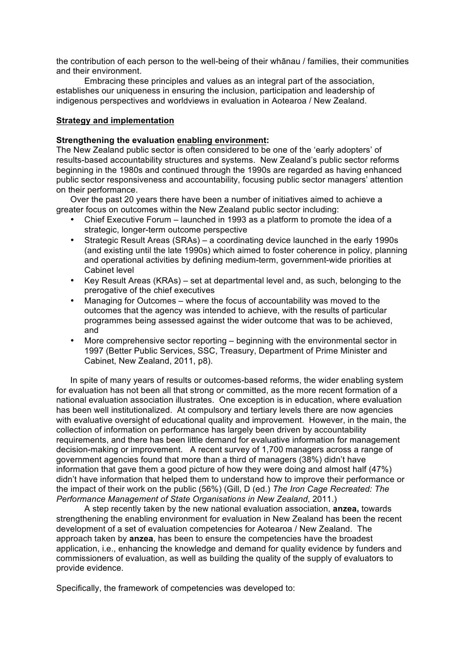the contribution of each person to the well-being of their whānau / families, their communities and their environment.

Embracing these principles and values as an integral part of the association, establishes our uniqueness in ensuring the inclusion, participation and leadership of indigenous perspectives and worldviews in evaluation in Aotearoa / New Zealand.

## **Strategy and implementation**

### **Strengthening the evaluation enabling environment:**

The New Zealand public sector is often considered to be one of the 'early adopters' of results-based accountability structures and systems. New Zealand's public sector reforms beginning in the 1980s and continued through the 1990s are regarded as having enhanced public sector responsiveness and accountability, focusing public sector managers' attention on their performance.

Over the past 20 years there have been a number of initiatives aimed to achieve a greater focus on outcomes within the New Zealand public sector including:

- Chief Executive Forum launched in 1993 as a platform to promote the idea of a strategic, longer-term outcome perspective
- Strategic Result Areas (SRAs) a coordinating device launched in the early 1990s (and existing until the late 1990s) which aimed to foster coherence in policy, planning and operational activities by defining medium-term, government-wide priorities at Cabinet level
- Key Result Areas (KRAs) set at departmental level and, as such, belonging to the prerogative of the chief executives
- Managing for Outcomes where the focus of accountability was moved to the outcomes that the agency was intended to achieve, with the results of particular programmes being assessed against the wider outcome that was to be achieved, and
- More comprehensive sector reporting beginning with the environmental sector in 1997 (Better Public Services, SSC, Treasury, Department of Prime Minister and Cabinet, New Zealand, 2011, p8).

In spite of many years of results or outcomes-based reforms, the wider enabling system for evaluation has not been all that strong or committed, as the more recent formation of a national evaluation association illustrates. One exception is in education, where evaluation has been well institutionalized. At compulsory and tertiary levels there are now agencies with evaluative oversight of educational quality and improvement. However, in the main, the collection of information on performance has largely been driven by accountability requirements, and there has been little demand for evaluative information for management decision-making or improvement. A recent survey of 1,700 managers across a range of government agencies found that more than a third of managers (38%) didn't have information that gave them a good picture of how they were doing and almost half (47%) didn't have information that helped them to understand how to improve their performance or the impact of their work on the public (56%) (Gill, D (ed.) *The Iron Cage Recreated: The Performance Management of State Organisations in New Zealand*, 2011.)

A step recently taken by the new national evaluation association, **anzea,** towards strengthening the enabling environment for evaluation in New Zealand has been the recent development of a set of evaluation competencies for Aotearoa / New Zealand. The approach taken by **anzea**, has been to ensure the competencies have the broadest application, i.e., enhancing the knowledge and demand for quality evidence by funders and commissioners of evaluation, as well as building the quality of the supply of evaluators to provide evidence.

Specifically, the framework of competencies was developed to: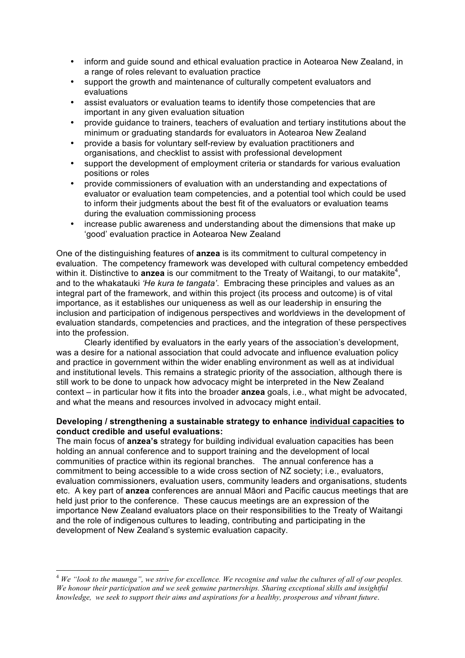- inform and guide sound and ethical evaluation practice in Aotearoa New Zealand, in a range of roles relevant to evaluation practice
- support the growth and maintenance of culturally competent evaluators and evaluations
- assist evaluators or evaluation teams to identify those competencies that are important in any given evaluation situation
- provide guidance to trainers, teachers of evaluation and tertiary institutions about the minimum or graduating standards for evaluators in Aotearoa New Zealand
- provide a basis for voluntary self-review by evaluation practitioners and organisations, and checklist to assist with professional development
- support the development of employment criteria or standards for various evaluation positions or roles
- provide commissioners of evaluation with an understanding and expectations of evaluator or evaluation team competencies, and a potential tool which could be used to inform their judgments about the best fit of the evaluators or evaluation teams during the evaluation commissioning process
- increase public awareness and understanding about the dimensions that make up 'good' evaluation practice in Aotearoa New Zealand

One of the distinguishing features of **anzea** is its commitment to cultural competency in evaluation. The competency framework was developed with cultural competency embedded within it. Distinctive to **anzea** is our commitment to the Treaty of Waitangi, to our matakite<sup>4</sup>, and to the whakatauki *'He kura te tangata'*. Embracing these principles and values as an integral part of the framework, and within this project (its process and outcome) is of vital importance, as it establishes our uniqueness as well as our leadership in ensuring the inclusion and participation of indigenous perspectives and worldviews in the development of evaluation standards, competencies and practices, and the integration of these perspectives into the profession.

Clearly identified by evaluators in the early years of the association's development, was a desire for a national association that could advocate and influence evaluation policy and practice in government within the wider enabling environment as well as at individual and institutional levels. This remains a strategic priority of the association, although there is still work to be done to unpack how advocacy might be interpreted in the New Zealand context – in particular how it fits into the broader **anzea** goals, i.e., what might be advocated, and what the means and resources involved in advocacy might entail.

## **Developing / strengthening a sustainable strategy to enhance individual capacities to conduct credible and useful evaluations:**

The main focus of **anzea's** strategy for building individual evaluation capacities has been holding an annual conference and to support training and the development of local communities of practice within its regional branches. The annual conference has a commitment to being accessible to a wide cross section of NZ society; i.e., evaluators, evaluation commissioners, evaluation users, community leaders and organisations, students etc. A key part of **anzea** conferences are annual Māori and Pacific caucus meetings that are held just prior to the conference. These caucus meetings are an expression of the importance New Zealand evaluators place on their responsibilities to the Treaty of Waitangi and the role of indigenous cultures to leading, contributing and participating in the development of New Zealand's systemic evaluation capacity.

 <sup>4</sup> *We "look to the maunga", we strive for excellence. We recognise and value the cultures of all of our peoples. We honour their participation and we seek genuine partnerships. Sharing exceptional skills and insightful knowledge, we seek to support their aims and aspirations for a healthy, prosperous and vibrant future*.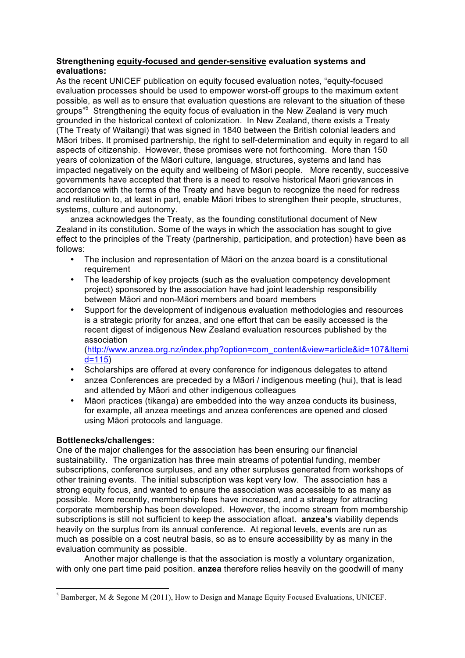# **Strengthening equity-focused and gender-sensitive evaluation systems and evaluations:**

As the recent UNICEF publication on equity focused evaluation notes, "equity-focused evaluation processes should be used to empower worst-off groups to the maximum extent possible, as well as to ensure that evaluation questions are relevant to the situation of these groups"<sup>5</sup> Strengthening the equity focus of evaluation in the New Zealand is very much grounded in the historical context of colonization. In New Zealand, there exists a Treaty (The Treaty of Waitangi) that was signed in 1840 between the British colonial leaders and Māori tribes. It promised partnership, the right to self-determination and equity in regard to all aspects of citizenship. However, these promises were not forthcoming. More than 150 years of colonization of the Māori culture, language, structures, systems and land has impacted negatively on the equity and wellbeing of Māori people. More recently, successive governments have accepted that there is a need to resolve historical Maori grievances in accordance with the terms of the Treaty and have begun to recognize the need for redress and restitution to, at least in part, enable Māori tribes to strengthen their people, structures, systems, culture and autonomy.

anzea acknowledges the Treaty, as the founding constitutional document of New Zealand in its constitution. Some of the ways in which the association has sought to give effect to the principles of the Treaty (partnership, participation, and protection) have been as follows:

- The inclusion and representation of Māori on the anzea board is a constitutional requirement
- The leadership of key projects (such as the evaluation competency development project) sponsored by the association have had joint leadership responsibility between Māori and non-Māori members and board members
- Support for the development of indigenous evaluation methodologies and resources is a strategic priority for anzea, and one effort that can be easily accessed is the recent digest of indigenous New Zealand evaluation resources published by the association

(http://www.anzea.org.nz/index.php?option=com\_content&view=article&id=107&Itemi d=115)

- Scholarships are offered at every conference for indigenous delegates to attend
- anzea Conferences are preceded by a Māori / indigenous meeting (hui), that is lead and attended by Māori and other indigenous colleagues
- Māori practices (tikanga) are embedded into the way anzea conducts its business, for example, all anzea meetings and anzea conferences are opened and closed using Māori protocols and language.

# **Bottlenecks/challenges:**

One of the major challenges for the association has been ensuring our financial sustainability. The organization has three main streams of potential funding, member subscriptions, conference surpluses, and any other surpluses generated from workshops of other training events. The initial subscription was kept very low. The association has a strong equity focus, and wanted to ensure the association was accessible to as many as possible. More recently, membership fees have increased, and a strategy for attracting corporate membership has been developed. However, the income stream from membership subscriptions is still not sufficient to keep the association afloat. **anzea's** viability depends heavily on the surplus from its annual conference. At regional levels, events are run as much as possible on a cost neutral basis, so as to ensure accessibility by as many in the evaluation community as possible.

Another major challenge is that the association is mostly a voluntary organization, with only one part time paid position. **anzea** therefore relies heavily on the goodwill of many

 <sup>5</sup> Bamberger, M & Segone M (2011), How to Design and Manage Equity Focused Evaluations, UNICEF.